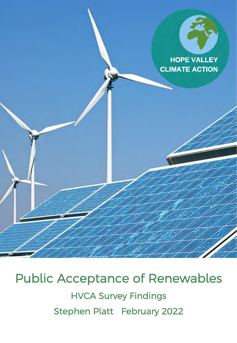

# Public Acceptance of Renewables HVCA Survey Findings Stephen Platt February 2022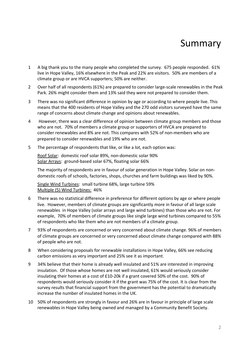### Summary

- 1 A big thank you to the many people who completed the survey. 675 people responded. 61% live in Hope Valley, 16% elsewhere in the Peak and 22% are visitors. 50% are members of a climate group or are HVCA supporters; 50% are neither.
- 2 Over half of all respondents (61%) are prepared to consider large-scale renewables in the Peak Park. 26% might consider them and 13% said they were not prepared to consider them.
- 3 There was no significant difference in opinion by age or according to where people live. This means that the 400 residents of Hope Valley and the 270 odd visitors surveyed have the same range of concerns about climate change and opinions about renewables.
- 4 However, there was a clear difference of opinion between climate group members and those who are not. 70% of members a climate group or supporters of HVCA are prepared to consider renewables and 8% are not. This compares with 52% of non-members who are prepared to consider renewables and 19% who are not.
- 5 The percentage of respondents that like, or like a lot, each option was:

Roof Solar: domestic roof solar 89%, non-domestic solar 90% Solar Arrays: ground-based solar 67%, floating solar 66%

The majority of respondents are in favour of solar generation in Hope Valley. Solar on nondomestic roofs of schools, factories, shops, churches and farm buildings was liked by 90%.

Single Wind Turbines: small turbine 68%, large turbine 59% Multiple (5) Wind Turbines: 46%

- 6 There was no statistical difference in preference for different options by age or where people live. However, members of climate groups are significantly more in favour of all large scale renewables in Hope Valley (solar arrays and large wind turbines) than those who are not. For example, 70% of members of climate groups like single large wind turbines compared to 55% of respondents who like them who are not members of a climate group.
- 7 93% of respondents are concerned or very concerned about climate change. 96% of members of climate groups are concerned or very concerned about climate change compared with 88% of people who are not.
- 8 When considering proposals for renewable installations in Hope Valley, 66% see reducing carbon emissions as very important and 25% see it as important.
- 9 34% believe that their home is already well insulated and 51% are interested in improving insulation. Of those whose homes are not well insulated, 61% would seriously consider insulating their homes at a cost of £10-20k if a grant covered 50% of the cost.  $90\%$  of respondents would seriously consider it if the grant was 75% of the cost. It is clear from the survey results that financial support from the government has the potential to dramatically increase the number of insulated homes in the UK.
- 10 50% of respondents are strongly in favour and 26% are in favour in principle of large scale renewables in Hope Valley being owned and managed by a Community Benefit Society.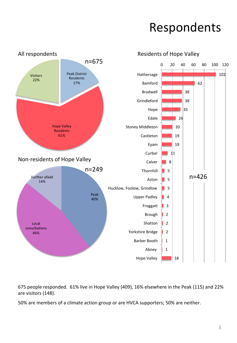### Respondents



675 people responded. 61% live in Hope Valley (409), 16% elsewhere in the Peak (115) and 22% are visitors (148).

50% are members of a climate action group or are HVCA supporters; 50% are neither.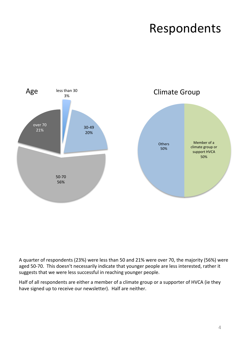# Respondents



A quarter of respondents (23%) were less than 50 and 21% were over 70, the majority (56%) were aged 50-70. This doesn't necessarily indicate that younger people are less interested, rather it suggests that we were less successful in reaching younger people.

Half of all respondents are either a member of a climate group or a supporter of HVCA (ie they have signed up to receive our newsletter). Half are neither.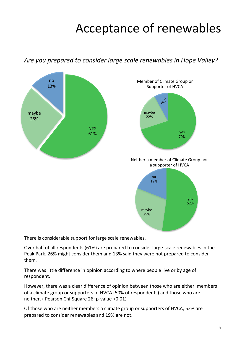## Acceptance of renewables

Are you prepared to consider large scale renewables in Hope Valley?



There is considerable support for large scale renewables.

Over half of all respondents (61%) are prepared to consider large-scale renewables in the Peak Park. 26% might consider them and 13% said they were not prepared to consider them. 

There was little difference in opinion according to where people live or by age of respondent. 

However, there was a clear difference of opinion between those who are either members of a climate group or supporters of HVCA (50% of respondents) and those who are neither. ( Pearson Chi-Square 26; p-value <0.01)

Of those who are neither members a climate group or supporters of HVCA, 52% are prepared to consider renewables and 19% are not.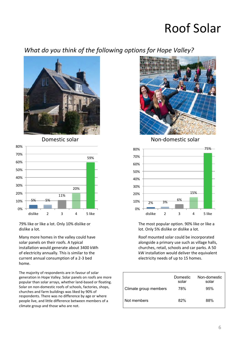### **Roof Solar**

### What do you think of the following options for Hope Valley?



Domestic solar



79% like or like a lot. Only 10% dislike or dislike a lot.

Many more homes in the valley could have solar panels on their roofs. A typical installation would generate about 3400 kWh of electricity annually. This is similar to the current annual consumption of a 2-3 bed home. 

The majority of respondents are in favour of solar generation in Hope Valley. Solar panels on roofs are more popular than solar arrays, whether land-based or floating. Solar on non-domestic roofs of schools, factories, shops, churches and farm buildings was liked by 90% of respondents. There was no difference by age or where people live, and little difference between members of a climate group and those who are not.



Non-domestic solar



The most popular option. 90% like or like a lot. Only 5% dislike or dislike a lot.

Roof mounted solar could be incorporated alongside a primary use such as village halls, churches, retail, schools and car parks. A 50 kW installation would deliver the equivalent electricity needs of up to 15 homes.

|                       | Domestic<br>solar | Non-domestic<br>solar |
|-----------------------|-------------------|-----------------------|
| Climate group members | 78%               | 95%                   |
| Not members           | 82%               | 88%                   |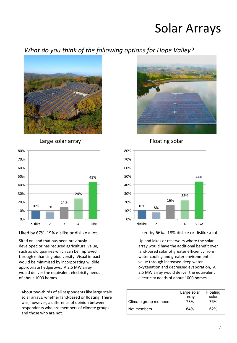### Solar Arrays

### What do you think of the following options for Hope Valley?



Large solar array





Sited on land that has been previously developed or has reduced agricultural value, such as old quarries which can be improved through enhancing biodiversity. Visual impact would be minimised by incorporating wildlife appropriate hedgerows. A 2.5 MW array would deliver the equivalent electricity needs of about 1000 homes.

About two-thirds of all respondents like large scale solar arrays, whether land-based or floating. There was, however, a difference of opinion between respondents who are members of climate groups and those who are not.



Floating solar



Liked by 66%. 18% dislike or dislike a lot.

Upland lakes or reservoirs where the solar array would have the additional benefit over land-based solar of greater efficiency from water cooling and greater environmental value through increased deep water oxygenation and decreased evaporation, A 2.5 MW array would deliver the equivalent electricity needs of about 1000 homes.

| Climate group members | Large solar<br>array<br>78% | Floating<br>solar<br>76% |
|-----------------------|-----------------------------|--------------------------|
| Not members           | 64%                         | 62%                      |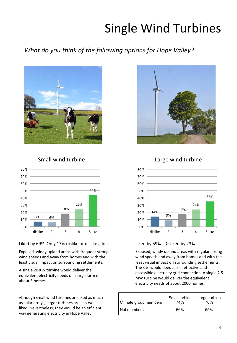## Single Wind Turbines

### What do you think of the following options for Hope Valley?



#### Small wind turbine



Liked by 69% Only 13% dislike or dislike a lot.

Exposed, windy upland areas with frequent strong wind speeds and away from homes and with the least visual impact on surrounding settlements.

A single 20 KW turbine would deliver the equivalent electricity needs of a large farm or about 5 homes

Although small wind turbines are liked as much as solar arrays, larger turbines are less well liked. Nevertheless, they would be an efficient way generating electricity in Hope Valley.



#### Large wind turbine



#### Liked by 59%. Disliked by 23%

Exposed, windy upland areas with regular strong wind speeds and away from homes and with the least visual impact on surrounding settlements. The site would need a cost effective and accessible electricity grid connection. A single 2.5 MW turbine would deliver the equivalent electricity needs of about 2000 homes.

| Climate group members | Small turbine<br>74% | Large turbine<br>70% |
|-----------------------|----------------------|----------------------|
| Not members           | 66%                  | 55%                  |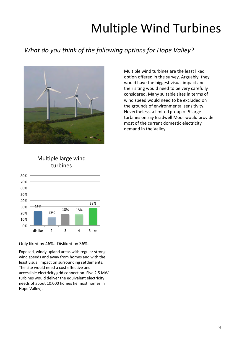## **Multiple Wind Turbines**

### What do you think of the following options for Hope Valley?



Multiple wind turbines are the least liked option offered in the survey. Arguably, they would have the biggest visual impact and their siting would need to be very carefully considered. Many suitable sites in terms of wind speed would need to be excluded on the grounds of environmental sensitivity. Nevertheless, a limited group of 5 large turbines on say Bradwell Moor would provide most of the current domestic electricity demand in the Valley.

#### Multiple large wind turbines



Only liked by 46%. Disliked by 36%.

Exposed, windy upland areas with regular strong wind speeds and away from homes and with the least visual impact on surrounding settlements. The site would need a cost effective and accessible electricity grid connection. Five 2.5 MW turbines would deliver the equivalent electricity needs of about 10,000 homes (ie most homes in Hope Valley).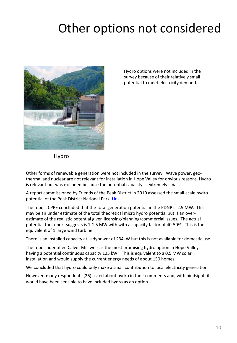## Other options not considered



Hydro options were not included in the survey because of their relatively small potential to meet electricity demand.

Hydro 

Other forms of renewable generation were not included in the survey. Wave power, geothermal and nuclear are not relevant for installation in Hope Valley for obvious reasons. Hydro is relevant but was excluded because the potential capacity is extremely small.

A report commissioned by Friends of the Peak District in 2010 assessed the small-scale hydro potential of the Peak District National Park. Link.

The report CPRE concluded that the total generation potential in the PDNP is 2.9 MW. This may be an under estimate of the total theoretical micro hydro potential but is an overestimate of the realistic potential given licensing/planning/commercial issues. The actual potential the report suggests is 1-1.5 MW with with a capacity factor of 40-50%. This is the equivalent of 1 large wind turbine.

There is an installed capacity at Ladybower of 234kW but this is not available for domestic use.

The report identified Calver Mill weir as the most promising hydro option in Hope Valley, having a potential continuous capacity 125 kW. This is equivalent to a 0.5 MW solar installation and would supply the current energy needs of about 150 homes.

We concluded that hydro could only make a small contribution to local electricity generation.

However, many respondents (26) asked about hydro in their comments and, with hindsight, it would have been sensible to have included hydro as an option.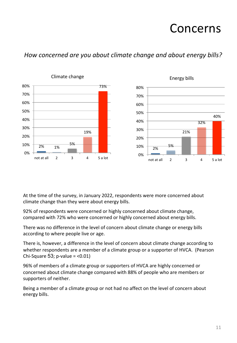### Concerns

### How concerned are you about climate change and about energy bills?



At the time of the survey, in January 2022, respondents were more concerned about climate change than they were about energy bills.

92% of respondents were concerned or highly concerned about climate change, compared with 72% who were concerned or highly concerned about energy bills.

There was no difference in the level of concern about climate change or energy bills according to where people live or age.

There is, however, a difference in the level of concern about climate change according to whether respondents are a member of a climate group or a supporter of HVCA. (Pearson Chi-Square 53; p-value  $=$  <0.01)

96% of members of a climate group or supporters of HVCA are highly concerned or concerned about climate change compared with 88% of people who are members or supporters of neither.

Being a member of a climate group or not had no affect on the level of concern about energy bills.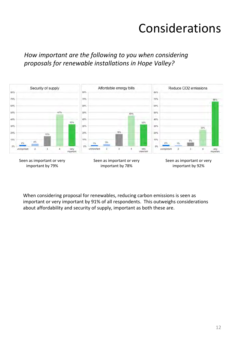### Considerations

How important are the following to you when considering proposals for renewable installations in Hope Valley?



Seen as important or very important by 79%

When considering proposal for renewables, reducing carbon emissions is seen as important or very important by 91% of all respondents. This outweighs considerations about affordability and security of supply, important as both these are.

Seen as important or very important by 78%

Seen as important or very important by 92%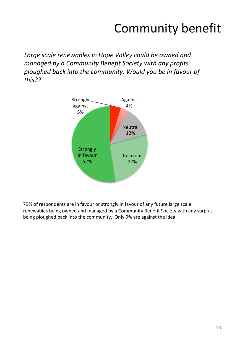# Community benefit

Large scale renewables in Hope Valley could be owned and *managed by a Community Benefit Society with any profits* ploughed back into the community. Would you be in favour of *this??* 



79% of respondents are in favour or strongly in favour of any future large scale renewables being owned and managed by a Community Benefit Society with any surplus being ploughed back into the community. Only 9% are against the idea.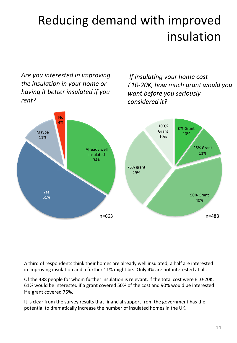# Reducing demand with improved insulation

Are you interested in improving *the insulation in your home or having it better insulated if you rent?* 

*If insulating your home cost £10-20K, how much grant would you want before you seriously considered it?* 



A third of respondents think their homes are already well insulated; a half are interested in improving insulation and a further 11% might be. Only 4% are not interested at all.

Of the 488 people for whom further insulation is relevant, if the total cost were £10-20K, 61% would be interested if a grant covered 50% of the cost and 90% would be interested if a grant covered 75%.

It is clear from the survey results that financial support from the government has the potential to dramatically increase the number of insulated homes in the UK.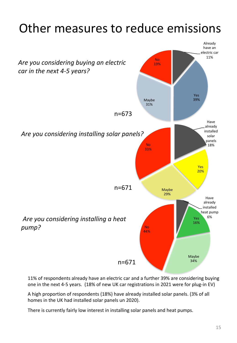## Other measures to reduce emissions



11% of respondents already have an electric car and a further 39% are considering buying one in the next 4-5 years. (18% of new UK car registrations in 2021 were for plug-in EV)

A high proportion of respondents (18%) have already installed solar panels. (3% of all homes in the UK had installed solar panels un 2020).

There is currently fairly low interest in installing solar panels and heat pumps.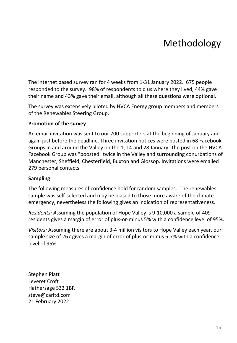### Methodology

The internet based survey ran for 4 weeks from 1-31 January 2022. 675 people responded to the survey. 98% of respondents told us where they lived, 44% gave their name and 43% gave their email, although all these questions were optional.

The survey was extensively piloted by HVCA Energy group members and members of the Renewables Steering Group.

#### **Promotion of the survey**

An email invitation was sent to our 700 supporters at the beginning of January and again just before the deadline. Three invitation notices were posted in 68 Facebook Groups in and around the Valley on the 1, 14 and 28 January. The post on the HVCA Facebook Group was "boosted" twice in the Valley and surrounding conurbations of Manchester, Sheffield, Chesterfield, Buxton and Glossop. Invitations were emailed 279 personal contacts.

#### **Sampling**

The following measures of confidence hold for random samples. The renewables sample was self-selected and may be biased to those more aware of the climate emergency, nevertheless the following gives an indication of representativeness.

*Residents:* Assuming the population of Hope Valley is 9-10,000 a sample of 409 residents gives a margin of error of plus-or-minus 5% with a confidence level of 95%.

*Visitors:* Assuming there are about 3-4 million visitors to Hope Valley each year, our sample size of 267 gives a margin of error of plus-or-minus 6-7% with a confidence level of 95% 

Stephen Platt Leveret Croft Hathersage S32 1BR steve@carltd.com 21 February 2022